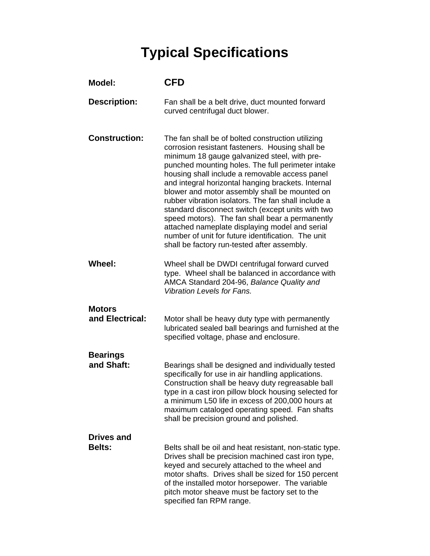## **Typical Specifications**

| <b>Model:</b>                      | <b>CFD</b>                                                                                                                                                                                                                                                                                                                                                                                                                                                                                                                                                                                                                                                                               |
|------------------------------------|------------------------------------------------------------------------------------------------------------------------------------------------------------------------------------------------------------------------------------------------------------------------------------------------------------------------------------------------------------------------------------------------------------------------------------------------------------------------------------------------------------------------------------------------------------------------------------------------------------------------------------------------------------------------------------------|
| <b>Description:</b>                | Fan shall be a belt drive, duct mounted forward<br>curved centrifugal duct blower.                                                                                                                                                                                                                                                                                                                                                                                                                                                                                                                                                                                                       |
| <b>Construction:</b>               | The fan shall be of bolted construction utilizing<br>corrosion resistant fasteners. Housing shall be<br>minimum 18 gauge galvanized steel, with pre-<br>punched mounting holes. The full perimeter intake<br>housing shall include a removable access panel<br>and integral horizontal hanging brackets. Internal<br>blower and motor assembly shall be mounted on<br>rubber vibration isolators. The fan shall include a<br>standard disconnect switch (except units with two<br>speed motors). The fan shall bear a permanently<br>attached nameplate displaying model and serial<br>number of unit for future identification. The unit<br>shall be factory run-tested after assembly. |
| <b>Wheel:</b>                      | Wheel shall be DWDI centrifugal forward curved<br>type. Wheel shall be balanced in accordance with<br>AMCA Standard 204-96, Balance Quality and<br><b>Vibration Levels for Fans.</b>                                                                                                                                                                                                                                                                                                                                                                                                                                                                                                     |
| <b>Motors</b><br>and Electrical:   | Motor shall be heavy duty type with permanently<br>lubricated sealed ball bearings and furnished at the<br>specified voltage, phase and enclosure.                                                                                                                                                                                                                                                                                                                                                                                                                                                                                                                                       |
| <b>Bearings</b><br>and Shaft:      | Bearings shall be designed and individually tested<br>specifically for use in air handling applications.<br>Construction shall be heavy duty regreasable ball<br>type in a cast iron pillow block housing selected for<br>a minimum L50 life in excess of 200,000 hours at<br>maximum cataloged operating speed. Fan shafts<br>shall be precision ground and polished.                                                                                                                                                                                                                                                                                                                   |
| <b>Drives and</b><br><b>Belts:</b> | Belts shall be oil and heat resistant, non-static type.<br>Drives shall be precision machined cast iron type,<br>keyed and securely attached to the wheel and<br>motor shafts. Drives shall be sized for 150 percent<br>of the installed motor horsepower. The variable<br>pitch motor sheave must be factory set to the<br>specified fan RPM range.                                                                                                                                                                                                                                                                                                                                     |